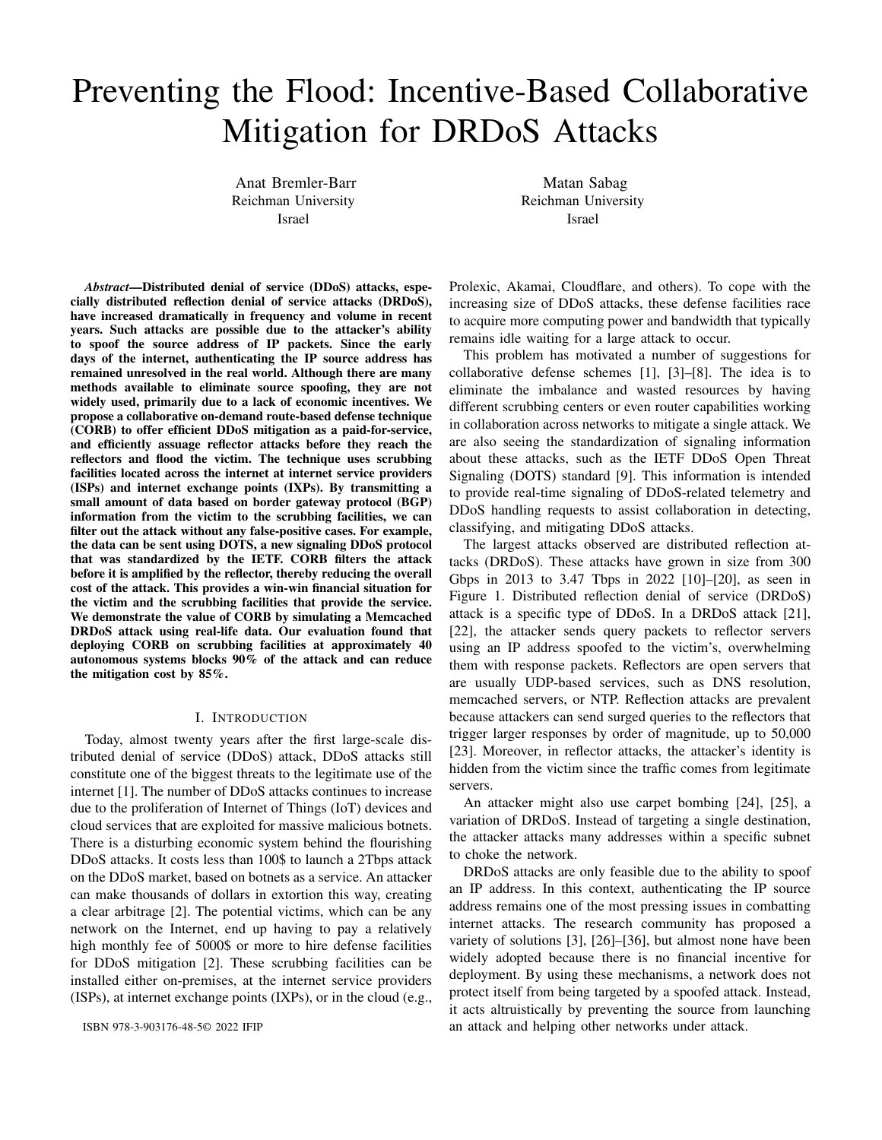# Preventing the Flood: Incentive-Based Collaborative Mitigation for DRDoS Attacks

Anat Bremler-Barr Reichman University Israel

Matan Sabag Reichman University Israel

*Abstract*—Distributed denial of service (DDoS) attacks, especially distributed reflection denial of service attacks (DRDoS), have increased dramatically in frequency and volume in recent years. Such attacks are possible due to the attacker's ability to spoof the source address of IP packets. Since the early days of the internet, authenticating the IP source address has remained unresolved in the real world. Although there are many methods available to eliminate source spoofing, they are not widely used, primarily due to a lack of economic incentives. We propose a collaborative on-demand route-based defense technique (CORB) to offer efficient DDoS mitigation as a paid-for-service, and efficiently assuage reflector attacks before they reach the reflectors and flood the victim. The technique uses scrubbing facilities located across the internet at internet service providers (ISPs) and internet exchange points (IXPs). By transmitting a small amount of data based on border gateway protocol (BGP) information from the victim to the scrubbing facilities, we can filter out the attack without any false-positive cases. For example, the data can be sent using DOTS, a new signaling DDoS protocol that was standardized by the IETF. CORB filters the attack before it is amplified by the reflector, thereby reducing the overall cost of the attack. This provides a win-win financial situation for the victim and the scrubbing facilities that provide the service. We demonstrate the value of CORB by simulating a Memcached DRDoS attack using real-life data. Our evaluation found that deploying CORB on scrubbing facilities at approximately 40 autonomous systems blocks 90% of the attack and can reduce the mitigation cost by 85%.

#### I. INTRODUCTION

Today, almost twenty years after the first large-scale distributed denial of service (DDoS) attack, DDoS attacks still constitute one of the biggest threats to the legitimate use of the internet [1]. The number of DDoS attacks continues to increase due to the proliferation of Internet of Things (IoT) devices and cloud services that are exploited for massive malicious botnets. There is a disturbing economic system behind the flourishing DDoS attacks. It costs less than 100\$ to launch a 2Tbps attack on the DDoS market, based on botnets as a service. An attacker can make thousands of dollars in extortion this way, creating a clear arbitrage [2]. The potential victims, which can be any network on the Internet, end up having to pay a relatively high monthly fee of 5000\$ or more to hire defense facilities for DDoS mitigation [2]. These scrubbing facilities can be installed either on-premises, at the internet service providers (ISPs), at internet exchange points (IXPs), or in the cloud (e.g.,

ISBN 978-3-903176-48-5© 2022 IFIP

Prolexic, Akamai, Cloudflare, and others). To cope with the increasing size of DDoS attacks, these defense facilities race to acquire more computing power and bandwidth that typically remains idle waiting for a large attack to occur.

This problem has motivated a number of suggestions for collaborative defense schemes [1], [3]–[8]. The idea is to eliminate the imbalance and wasted resources by having different scrubbing centers or even router capabilities working in collaboration across networks to mitigate a single attack. We are also seeing the standardization of signaling information about these attacks, such as the IETF DDoS Open Threat Signaling (DOTS) standard [9]. This information is intended to provide real-time signaling of DDoS-related telemetry and DDoS handling requests to assist collaboration in detecting, classifying, and mitigating DDoS attacks.

The largest attacks observed are distributed reflection attacks (DRDoS). These attacks have grown in size from 300 Gbps in 2013 to 3.47 Tbps in 2022 [10]–[20], as seen in Figure 1. Distributed reflection denial of service (DRDoS) attack is a specific type of DDoS. In a DRDoS attack [21], [22], the attacker sends query packets to reflector servers using an IP address spoofed to the victim's, overwhelming them with response packets. Reflectors are open servers that are usually UDP-based services, such as DNS resolution, memcached servers, or NTP. Reflection attacks are prevalent because attackers can send surged queries to the reflectors that trigger larger responses by order of magnitude, up to 50,000 [23]. Moreover, in reflector attacks, the attacker's identity is hidden from the victim since the traffic comes from legitimate servers.

An attacker might also use carpet bombing [24], [25], a variation of DRDoS. Instead of targeting a single destination, the attacker attacks many addresses within a specific subnet to choke the network.

DRDoS attacks are only feasible due to the ability to spoof an IP address. In this context, authenticating the IP source address remains one of the most pressing issues in combatting internet attacks. The research community has proposed a variety of solutions [3], [26]–[36], but almost none have been widely adopted because there is no financial incentive for deployment. By using these mechanisms, a network does not protect itself from being targeted by a spoofed attack. Instead, it acts altruistically by preventing the source from launching an attack and helping other networks under attack.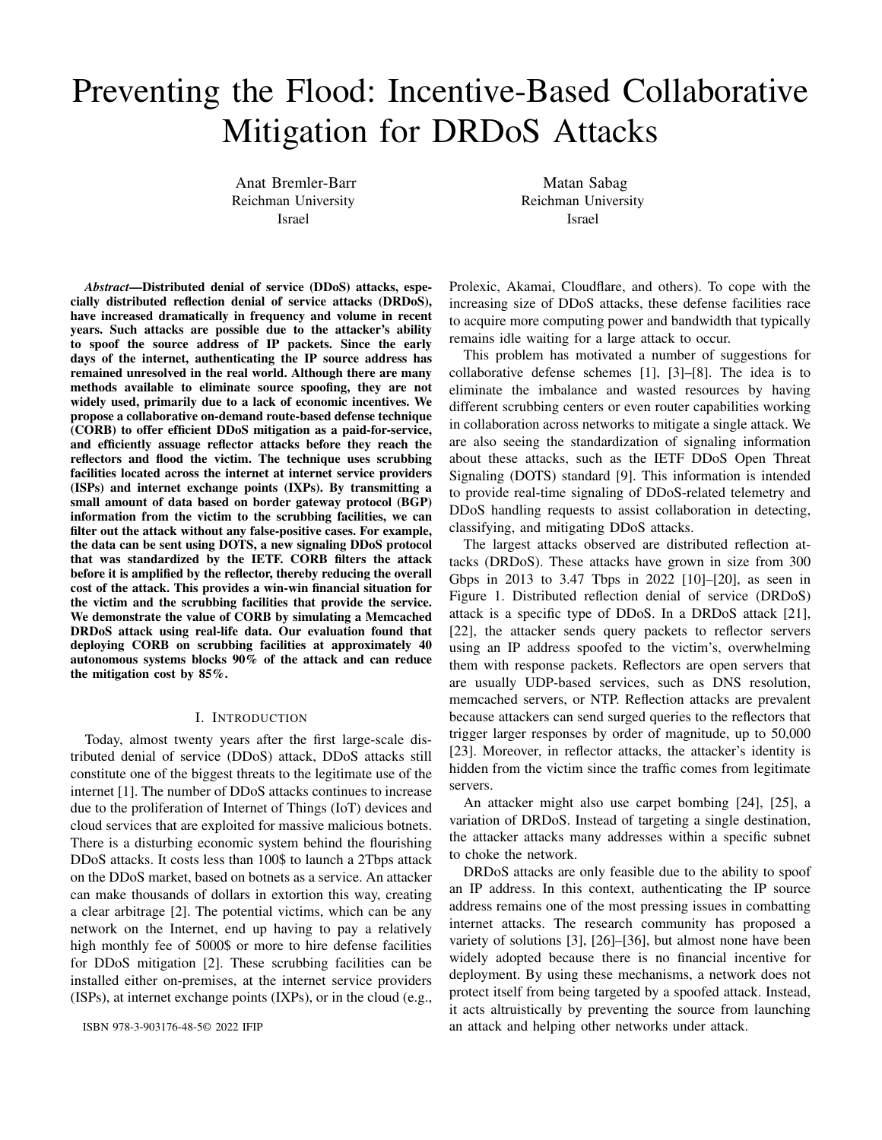

Fig. 1. Growth in volume of DRDoS attacks

This paper proposes a Collaborative On-Demand Route Based (CORB) DRDoS mitigation defense scheme to combat reflector attacks by using BGP route information. CORB is based on several simple observations:

Collaborative defense is necessary: To cost-effectively deal with the increasing number of DDoS attacks over the global internet, it is essential to collaborate and facilitate the power to mitigate across organizations. Financial incentives are essential to motivate collaboration, and smart-contracts such as those used in blockchain technologies can make payment for collaborative defense more feasible [5].

Attack mitigation is best performed closer to the source, before amplification takes place: Before amplification, the volume of traffic that needs to be handled is much smaller. In some cases, using a solution closer to the victim can be too late because the network has already been saturated [1]. Mitigation costs are also higher once the attack reaches the victim because they are, in most cases, proportional to traffic volumes. Moreover, in DR-DoS, it is more difficult to identify the attacked packets after amplification. This is because they are not spoofed since they are triggered from the reflector to the victim. Route based mitigation is practical using BGP information: In DRDoS, packets are spoofed to appear to originate from the victim, but their actual routing differs from the route taken by a legitimate packet sent by the victim. These cases can be identified by examining the victim's BGP information, which reveals the route information. Because many attacks today are multi-vector attacks, using multiple reflectors and protocols, one of the advantages of CORB is that it addresses the root cause to identify spoofing regardless of the protocol. We explain this simple idea and discuss different approaches to deploying CORB in Section III. Previous theoretical papers have already highlighted BGP information as a valuable resource. However, they made some unrealistic assumptions, such as changing the BGP protocol (see Section VI). We present a feasible and practical solution. In CORB's basic mode (CORB-loose), the victim's signal

to the scrubbing facilities is merely a list of headers to filter, where the source is the victim, and the destination is the reflector. Based on the information derived from the attack traffic and the victim's BGP table, the information is signaled in real time (e.g., through the DOTS protocol). The technique has zero-false positives and it does not assume anything about the characteristics of the BGP routes, such as whether or not they are symmetric.

Mitigation based on the source address: Mitigation solutions are usually tailored for traffic in which the destination address is the target of an attack. In order to effectively mitigate an attack before reflection occurs, mitigation solutions should target traffic whose source address matches that of the victim. Note that this is legally acceptable, since the victim is–or appears to be–the owner of packets. Therefore, the mechanism is also GDPR compliant from a privacy perspective. As far as authentication is concerned, the same mechanism should be applied to mitigation by source address as it is to mitigation by destination address. Moreover, current standard mechanisms such as BGP Flowspec [37], allow filtering based on information such as the source address.

The remainder of the paper is organized as follows. Section II provides an overview of the CORB architecture at a high level. Section III examines CORB's implementation details in detail, demonstrating that it is both feasible and practical. By simulating the Github Memcached attack in 2018, Section IV illustrates how CORB can mitigate DRDoS attacks before amplification occurs, drastically reducing network bandwidth consumption and mitigation costs. Section V examines implementation details pertaining to DOTS. Chapter VI covers related work.

Although this work focuses on DRDoS attacks, our mechanism can be applied with other collaborative defense techniques. As the size of the attack increases, we believe it becomes essential to implement a collaborative solution that offers financial incentive to mitigate DDoS attacks and deal with this growing threat. This paper is a step towards that goal.

## II. CORB ARCHITECTURE

CORB is designed to subdue large scale reflection attacks by combining the mitigation and scrubbing power of different facilities spread across the globe. The algorithm uses BGP information from the victim to identify the attack traffic. BGP is a standardized protocol used to exchange routing and reachability information between autonomous systems (AS). Each AS is a collection of networks that are defined by prefixes and are under the control of a single administrative operator (i.e., internet service provider or a large enterprise). CORB takes advantage of the scrubbing capabilities of AS networks spread across the internet, and aggregates their power to mitigate DDoS attacks.

DDoS mitigation services are available in a variety of forms: in ISPs, in IXPs, and as a service in the cloud. We now examine how CORB can take advantage of these services,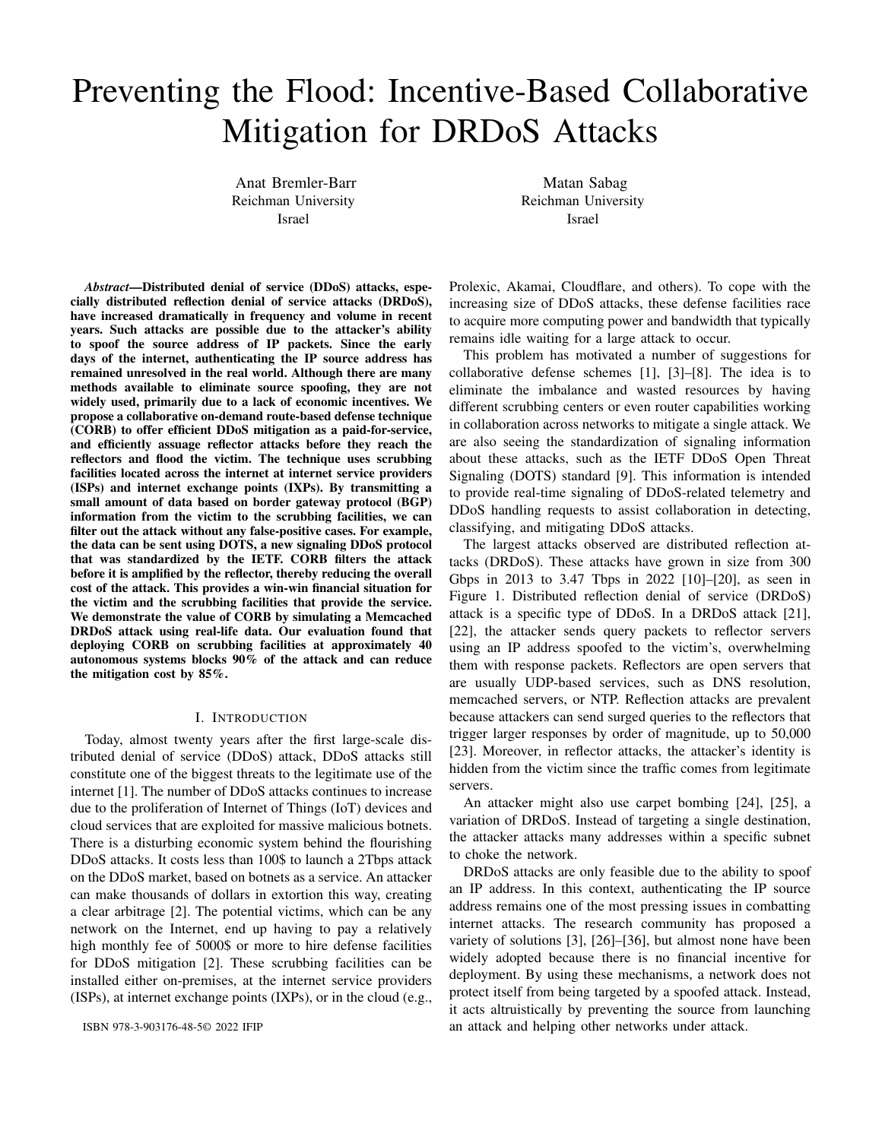and highlight the technologies that can be used to implement CORB, such as BGP Flowspec, and DOTS.

Scrubbing at the ISP level: ISPs can deploy dedicated scrubbing devices (e.g., Radware), but we demonstrate that CORB can be implemented using standard protocols for DDoS mitigation. The basic and most common technique used by ISPs on their border routers is Remote Triggered Blackhole (RTBH) [38], [39]. Based on its source or destination address, RTBH is able to abandon undesirable traffic before it enters the AS, by dropping traffic in all the BGP border routers. BGP Flowspec [37] is a more sophisticated and subtler way to block specific flows of traffic based on their destination, source, port, DSCP, and others. BGP Flowspec is the control protocol that injects filters to the data plane of the AS border routers (ASBRs), which can handle filtering at a high rate. Because BGP Flowspec can apply filtering rules to all of the AS's border routers, we refer to the AS as a single entity throughout the remainder of this paper.

Scrubbing at the IXP level: Internet exchange points (IXPs) provide DDoS mitigation services similar to those provided by ISPs [40]. IXPs offer an ideal location at which to deploy DDoS mitigation, since many ISPs make use of them for traffic exchange. For example, the DE-CIX in Frankfurt and the AMS-IX in Amsterdam, use over 800 networks and over 6 Tbps [41]. By empowering one of these large IXPs with mitigation services, hundreds of member networks will immediately benefit, without the need for changes in Internet protocols or cooperation and coordination between the member networks. We demonstrate that applying CORB to large IXPs can significantly enhance attack mitigation.

Scrubbing with cloud scrubbing centers: Cloud-based scrubbing centers are another form of DDoS mitigation services. In the event of an attack, traffic is redirected via DNS or BGP to a scrubbing center, where a mitigation system subdues the attack traffic and forwards clean traffic back to the network for delivery. The majority of scrubbing vendors [42] have multiple scrubbing centers that can handle large-scale attacks situated at different locations around the globe [43], [44]. It is noteworthy that the attack volume of the most recent DRDoS attack is close to the maximum capacity of many of these scrubbing centers [44]. CORB assumes that we are aware of the legitimate packet route and, as a result, all other routes are deemed illegitimate; however, BGP and DNS redirection can cause the traffic to change routes, making it more difficult to maintain the original route information. Hence, this work focuses on the use of mitigation services for DDoS within the AS network, primarily at ISPs and IXPs.

CORB requires that we transmit information related to the attack from the victim to the scrubbing ASes (SASes). To accomplish this task, we use DDoS Open Threat Signaling (DOTS) [9], [45]. DOTS is a protocol that was standardized by the Internet Engineering Task Force (IETF) and is designed for real-time signaling related to DDoS attacks.

Lastly, it is important to note that the CORB algorithm does not assume any properties for the internet routes; they can be asymmetric, and the victim may be an anycast address.

## III. CORB

CORB is based on the principle that even if an attacker succeeds in spoofing packets that bear the victim's source address, those packets will have been sent to the reflector via routes that are different from those typically used for legitimate packets originating from the victim. The expected route from the victim to the reflector can be determined at the AS level by using BGP information. Each destination (i.e., a network prefix) in the BGP table is assigned with an outgoing neighbor and an associated ASpath. BGP is a policy routing protocol that chooses the best route according the ASpath, which is the route expressed in AS level information. As part of CORB, we use the ASpath to extract the pertinent filtering information and send it to the scrubbing ASes (SASs). By examining the ASpath information, the scrubbing AS can identify which packets did not arrive via the expected route. With this information in hand, the scrubbing AS can filter out a majority of the attack volume prior to reflection and amplification.<sup>2</sup>

In this section, we have a victim  $v$  and  $M$  scrubbing ASes  $sAS_1$ , .. $sAS_M$  spread around the world. There are two modes of CORB operation: CORB-Strict and CORB-Loose, where loose transmits less filtering information and can filter fewer cases, as compared with strict. The algorithm consists of three stages: detection, signaling, and mitigation.

#### *A. Detection*

The paper assumes that the victim  $v$  has a basic DDoS detection mechanism capable of identifying DDoS attacks if a substantial amount of packets are involved. In addition, we assume the detection mechanism can classify the attack type as a DRDoS attack and discover the set of reflectors  $R = r_1, r_2, \ldots r_k$  involved in the attack based on their IP addresses. Detecting a DRDoS attack and determining the reflectors involved is typically straightforward. This is because the victim will notice that it receives responses even though it did not initiate the request [46]–[49].

## *B. Signaling*

Upon detecting the DDoS attack, the victim sends the scrubbing ASes signals requesting mitigation. The mitigation request contains information retrieved from the victim's BGP table. The specifics of what is sent depend on the CORB mode. The signaling can be performed using DOTS [9].

Figure 2 illustrates the basic concept behind **CORB-Loose**. In this scenario, the expected route of an authentic packet sent

 $2$ If the victim is a server, the BGP information is held by the server's internet service provider (ISP). This is good news because ISPs are usually involved in the DDoS mitigation process to prevent attacks from disrupting the entire network.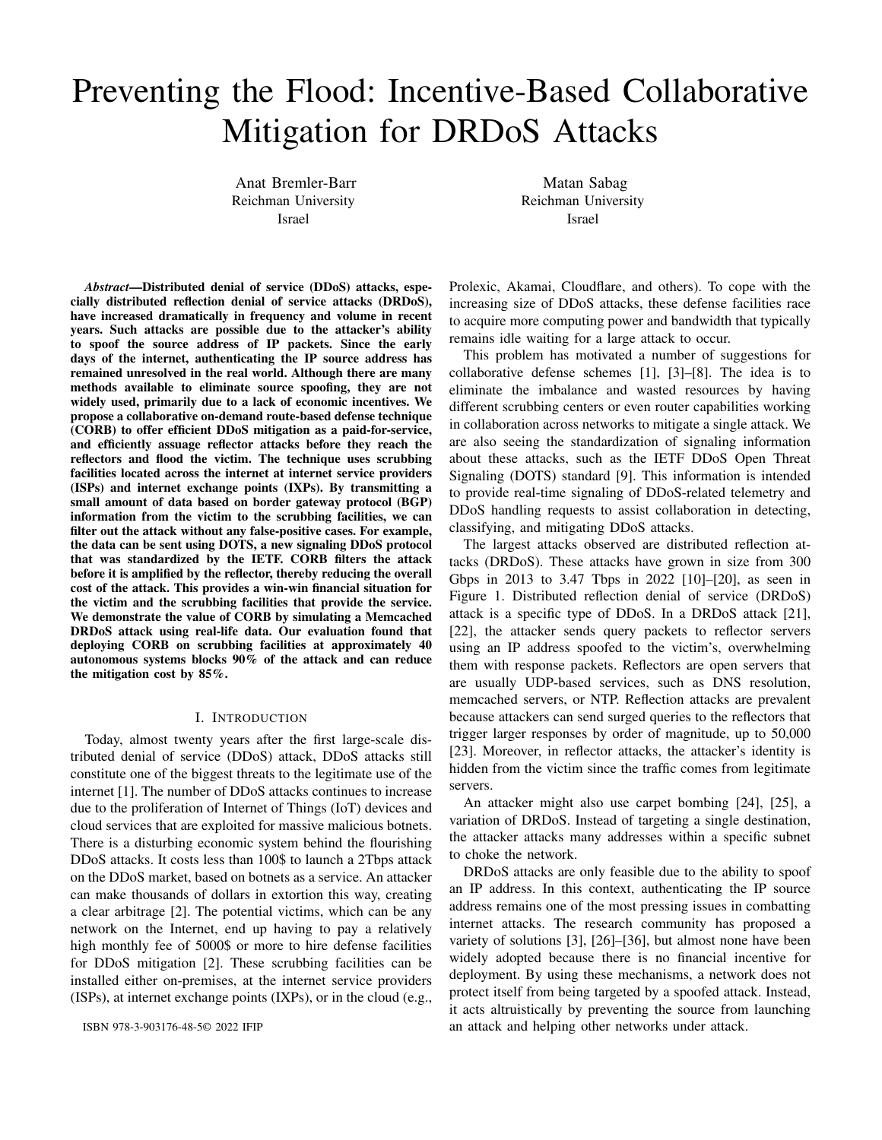from the victim  $v$  to the reflector  $r$  is not expected to pass through the scrubbing AS  $sAS$ . In other words, the scrubbing ASes should not observe packets from  $v$  to  $r$  unless they are spoofed. For this reason, the scrubbing AS can filter all of these packets before reflection, thereby reducing the flood that would have been caused by an amplification.

For each reflector  $r$  participating in the attack and a scrubbing AS  $sAS$ , the victim v performs the following. It checks the BGP table to see whether the BGP route (ASpath) from itself to r traverses through  $sAS$ . When it does not, v sends a mitigation request to  $sAS$  to filter all packets from v to r.<sup>3</sup>



Fig. 2. CORB-Loose:  $sAS$  filters spoofed traffic arriving from the attacker  $a$ with destination  $r$  and source  $v$  because  $sAS$  does not reside on the expected route between  $v$  to  $r$ 

**CORB-Strict** deals with scenarios where  $sAS$  is on the expected route from the victim to  $r$ , which prevents CORB-Loose from detecting and mitigating it. But in this case, the incoming interface is different, as shown in Figure 3. Here, the victim  $v$  sends to  $sAS$  information about the expected incoming interface a legitimate packet from itself to r should enter to *sAS*. The incoming interface information is passed in the form of the neighbouring AS Number (ASN). If  $sAS$  is not included in the path to  $r$ , it sends  $null$ . In our example, this information is the neighboring AS  $n$ . Hence,  $sAS$  should filter out any packets going from  $v$  to  $r$  that do not come through the neighboring AS  $n$ . Consequently, CORB-Strict can filter a larger number of spoofing cases.

Providing the BGP information is current, it is straightforward to prove that the algorithm has zero false-positives. In addition, the algorithm does not assume any properties for the internet routes; they can be asymmetric, and the victim may be an anycast address. Hence, we should ensure that the signaled information is current, i.e., we should notify the scrubbing AS if the information provided to it has changed due to changes in BGP routes. The updates should be minimal since most BGP routes on the internet remain stable for days [50] and the likelihood of any significant change in relevant information is small. If there are new reflectors involved in the attack, this would be another reason for updating to occur.





Fig. 3. CORB-strict:  $sAS$  filters spoofed traffic arriving from the attacker a with destination  $r$  and source  $v$  because it arrives from the incoming interface  $x$  while legitimate traffic from  $v$  to  $r$  should enter through the incoming interface n. Note that CORB-Loose cannot detect this situation because  $sAS$ is indeed on the path from  $v$  to  $r$ .

Signaling to a scrubbing AS in CORB-Loose has a size bound of  $O(|R_j|32)$  for IPv4 and  $O(|R_j|128)$  for IPv6, where  $\sqrt{R}$  is the number of reflectors. In reality, this size bound will be significantly lower than  $/R$  since we send the IP address of a reflector only when the observed traffic from the victim must be filtered by the scrubbing AS. In CORB-Strict, the bounds are  $O(|R|$   $(32 + 32)$  and  $O(|R|$   $(128 + 32)$ , respectively, since for each reflector we also include the neighbor ASN of the scrubbing AS that is expected to send the route legitimate traffic from the victim to  $sAS$ . We note that the memory state is proportional to the number of reflectors, but not to the number of attackers, which is significantly higher.

## *C. Mitigation*

In order to detect spoofed traffic, packets bearing the source address of the victim should be filtered in accordance with CORB filtering information. As noted previously, the Flowspec protocol supports filtering based on both the source and destination addresses. CORB-Loose filtering is straightforward, as all traffic claiming to originate from the victim must be dropped. CORB-Strict requires filtering according to the information pertaining to the incoming interface from which it entered the AS. This can be achieved with BGP Flowspec and VRF (Virtual routing and forwarding) features.

## *D. IXP case*

So far, we have discussed the capabilities of performing scrubbing in ASes (scrubbing ASes). An additional candidate for scrubbing is the Internet Exchange Point (IXP), where many Internet infrastructure companies, such as Internet Service Providers (ISPs), exchange Internet traffic. Recent studies suggest that many IXPs also suggest mitigation and detection techniques [40], [41]. We can therefore see that the IXP provides a filtering facility that works on the edges between two ASes. The CORB algorithm can be adapted naturally to IXP, checking edges instead of AS. As an example with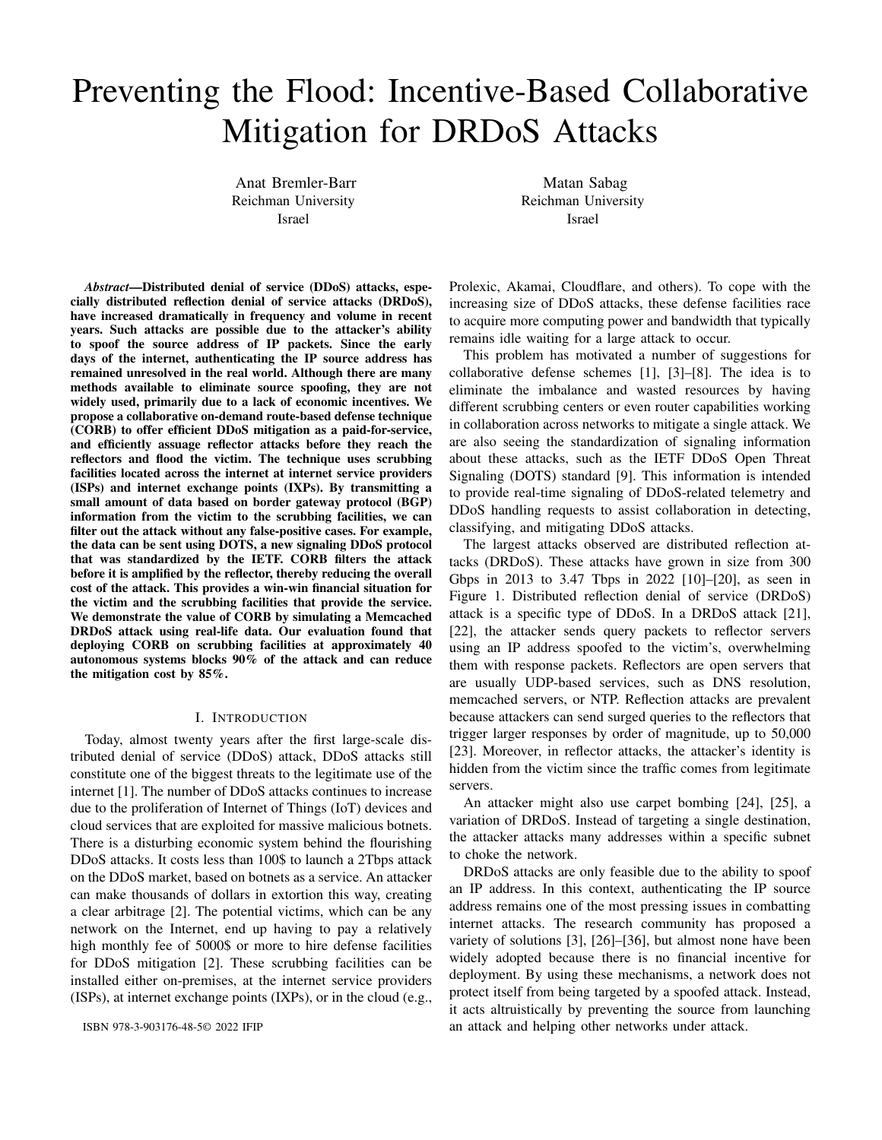CORB-Loose, Let  $(AS<sub>s</sub>, AS<sub>e</sub>)$  be a link in an IXP that has scrubbing capabilities. For each reflector  $r$  participating in the attack and a link  $(AS<sub>s</sub>, AS<sub>e</sub>)$ , the victim v performs the following. It examines the BGP table to determine whether the BGP route (ASpath) from itself to  $r$  traverses the link  $(AS<sub>s</sub>, AS<sub>e</sub>)$ . When it does not, v sends a mitigation request to the corresponding IXP to filter all packets from  $v$  to  $r$ .

## *E. Carpet mitigation attack*

It is straightforward to implement CORB to mitigate carpet bombing attacks [24], [25]. This is a variation of DRDoS that, instead of attacking one destination, attacks a whole subnet of addresses to choke a network. In this case, CORB should be applied to the victim subnet.

## *F. Accuracy*

CORB has almost no false-positives since false-positives occur only during the updating of the BGP information. That said, under DDoS attacks, some false positives are reasonable since the victim would not be available regardless of mitigation. Inherently, CORB has some false-negative states. This means it can reduce the volume of the attack but not eliminate it completely, which is common to many mitigation DDoS solutions [28]. This is because most mitigation techniques are used in layers, where each mitigation technique filters some of the traffic until it achieves a reasonable volume that the victim can handle. An obvious false-positive case occurs when there is no scrubbing center between the attacker and the reflector; in other words, when CORB is not in the spoofed traffic path. To analyze the limitations of CORB (false positives), we define  $LCA(a, v, r)$  as the least common ancestor at the AS level between the legitimate route from  $v$  to  $r$  and the spoofed route from attacker a to r. As long as  $sAS$  appears before  $LCA(a, v, r)$ , both CORB modes are useful because  $sAS$  does not expect to see traffic from v (see Figure 2). When sAS appears after  $LCA(a, v, r)$ , both modes result in false-negatives since the incoming interface is the same for both legitimate and spoofed traffic, as seen in Figure 4. It is only in the case of  $LCA(a, v, r) = sAS$  that CORB-Loose may produce false negatives, but this is not the case for CORB-Strict (see Figure 3). Accordingly, the difference in performance between the two modes is not that significant, as we demonstrate in Section IV.

## IV. CORB SIMULATION

The primary objective of CORB is to protect against spoofed reflected traffic. We first define measures of filtering performance that apply to both strict and loose modes. We measure impact of scrubbing in the AS level. an AS that deployed CORB is denoted as a scrubbing AS (SAS).

A packet sent from AS  $a$  to AS  $r$  that spoofs AS  $v$  will be filtered out by SAS  $sAS$  if and only if the packet's route includes  $sAS$  and if  $sAS$  is capable of filtering out the spoofing of  $v$  under CORB version  $ver$ , which can either be loose or strict. We represent the aforementioned statement as follows:



Fig. 4. Both spoofed traffic from the attacker  $a$  to  $r$  and legitimate traffic from the victim  $v$  to  $r$  are routed through  $x$  before arriving at the scrubbing center sAS. Therefore, both legitimate and spoofed traffic arrive at sAS on the same interface, and both CORB modes will fail to detect spoofing.

$$
filter_{sAS}^{ver}(a, r, v) = \begin{cases} 1 & sAS \text{ filtered the packet} \\ 0 & \text{otherwise} \end{cases}
$$
 (1)

Similarly, we can define the  $filter$  function for a set of SASes S.

$$
filter_S^{ver}(a, r, v) = \begin{cases} 1 & \text{9 sAS } 2 \text{ S which filtered the packet} \\ 0 & \text{otherwise} \end{cases} \tag{2}
$$

DDoS defense must be examined from the perspective of the victim, taking into account the attackers, reflectors, and scrubbing ASes. Let  $S$  represent the set of all  $SASes$ ,  $R$  the set of all reflectos,  $V$  the set of all victim ASes, and  $G$  the set of all ASes in the graph. Cumulative reflection protection  $(CRP)$  is the number of paths in the graph in which packets sent from any AS  $a \, 2 \, G$  to any AS  $r \, 2 \, R$ , spoofing an address from AS  $v$  2V, are filtered by a sAS 2S.

$$
CRP^{ver}(V, S) = \sum_{a \geq G} \sum_{r \geq R} \sum_{v \geq V} filter_S^{ver}(a, r, v)
$$
 (3)

This measure contains the possible paths by which scrubbing AS  $sAS$  2 S can filter traffic from an attacker AS  $a \nightharpoonup G$  to a reflector AS  $r \nightharpoonup R$ , which spoofs victim AS  $v \nightharpoonup V$ . Essentially, this measurement describes the filtering ability of CORB in the context of a specific attack. We define the percentage of successful mitigation  $(\%$  mitigation) as the ratio between  $CRP(V, S)$  and the total number of possible reflection attack paths. Formally:

$$
\%mitigation = \frac{CRP(V, S)}{\sum_{a2G} \sum_{r2R} \sum_{v2V} 1} \tag{4}
$$

Therefore, in this section, when we say, for example, that a configuration of CORB blocks 34% percent of the attack, it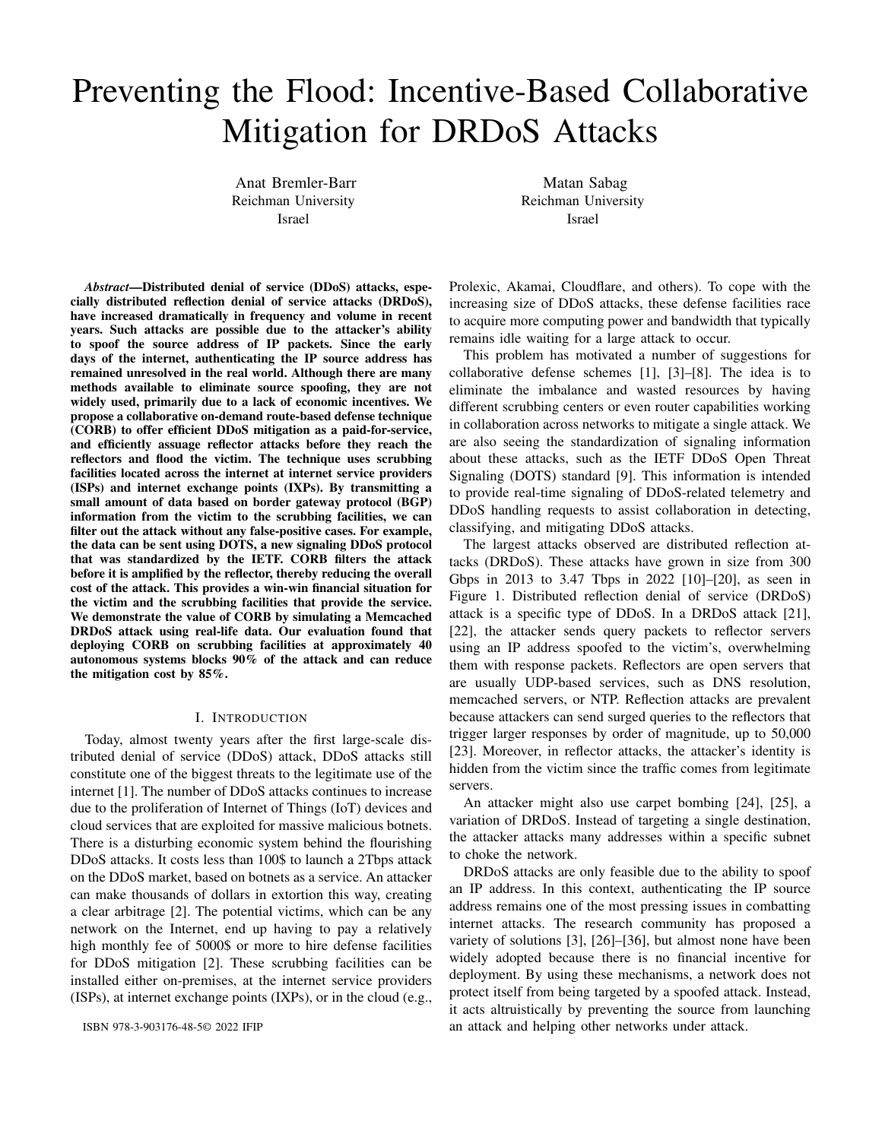is meant that the ratio between the  $CRP(V, S)$  and the size of all possible attack vectors in the simulation is 0.34.

## *A. Memcached Attack Simulation*

We drew inspiration from the 1.3 TBps memcached attack on GitHub in 2018 to conduct a realistic simulation [23]. The AS graph was built based on Caida's AS Relationship data for 2019-08-01 [51]. The path between pairs of ASes was calculated using the bgp simulator tool [52] that we developed, which was heavily based upon the disco tool [53] that infers the BGP routing based upon [54]. Nevertheless, this was done only for the simulation, and CORB does not assume that paths between ASes are determined in this manner. Using shodan data [55], we defined the set of reflector ASes  $R$  as those with more than ten open memcached IP addresses. V is defined as the set of victim ASes. At the time of the incident, V contained two ASes that GitHub resided on. All ASes are potential attackers in this simulation. The only difference between simulations is the SAS set  $S$  set and the CORB mode. Within the following sections, we elaborate on how we selected S in order to maximize CORB's efficiency. We run the experiment twice for each choice of S, once with CORBstrict (Fig 5) and once with CORB-loose (Fig 6).

In this simulation, we do not account for updates of BGP routes in the graph during the attack; this does not affect the algorithm itself and is only done for convenience. Because CAIDA's data is incomplete, we avoided scenarios in which the path between two ASes could not be calculated. Fortunately, this is a small proportion (less than 1%) of the paths in the graph.

## *B. Simulation results*

In this section, we present and analyze our simulation results that are reflected in Fig. 5 and in Fig. 6 for strict and loose CORB modes respectively. We show that in order to achieve route-based packet filtering efficiently with a relatively small number (fewer than 100 out of 65,000) of SASss, we are required to choose core networks that tend to be the LCA of many ASs.

Tier-1: When S is set to tier-1 ASes, CORB-Strict and CORB-Loose can respectively block 44% and 41% of attacks. Furthermore, CORB-Strict and CORB-loose block 40% and 37% of the attack respectively, just by deploying on ten tier-1 ASes. If we assume that a small number of ASes will implement a sophisticated defense system for economic reasons, we will witness an immediate reduction in the volume of attacks on the internet. In selecting only tier-1 ASes, one can expect that CORB will have no effect when an attack targets further downstream tiers, as no SAS is present in any of the attack paths.

Tier-2: CORB-Loose and CORB-Strict block 37% and 22% of attacks, respectively, when deployed on tier-2 ASes. According to our estimate, this is drastically less efficient than deploying on tier-1 ASes, since tier-2 ASes are LCAs of fewer ASes.

Tier-1 and tier-2: Using both tier-1 and tier-2 ASes, we created a combined list, and we selected the top 100 with the most direct customers. There was a dramatic improvement, as five SASs were able to block more than 50% of the attack, and 25 SASs were able to block 70%. By-customers:  $S$  is defined as the top 100 ASes according to the number of direct customers. In choosing based upon direct customers, it implies that there are a large number of ASes whose LCA is in S. This method of deployment has been found to be the most effective. This deployment is less effective than the Tier-1 and Tier-2 deployments for the first 18 SASs. However, while the latter keeps stagnating after reaching approximately 70%, this deployment reaches 92% protection with 84 filtering SASs (with CORB-Strict), more than 20% higher than deployments using tier-1 or tier-2 ASes. Furthermore, we observe that 80% mitigation can be achieved by 70 SASs, rendering the attack practically insignificant. CORB-Loose offers protection up to 80% and corresponds to a performance degradation of approximately 12% compared to strict CORB. Yet, CORB-loose in this scenario is still superior to the other deployments mentioned, even if in strict mode. CORB will therefore have an influential impact on attack mitigation when deployed on services such as IXPs. They serve as the link between internet infrastructure companies such as ISPs and CDNs, thereby serving as the LCA for a number of networks.

Random We carried out 20 iterations of random deployments of 100 SASs. Random deployments demonstrated poor performance when using route-based packet filtering. The best results came from random deployments that were less than 2%. Stub ASes and ASes that serve as the LCA for a small number of ASes have no effect and are ineffective. This illustrates the importance of selecting SASs carefully. Fortunately, the ASes that are suitable for CORB deployment are also the ones with an incentive to do so.

## *C. Financial implications*

By dropping spoofed packets before reflection, CORB reduces attack volume significantly. It is reasonable to assume that the Scrubbing ASes will charge a fee based on the volume of traffic. The ratio between the sizes of the response and the request is called amplification factor. For amplification factor P, handling a spoofed packet after reflection is more expansive by approximately  $P$ . Accordingly, CORB has a profound effect on mitigation costs for victims.

Memcached has a bandwidth amplification factor of about 50,000 [23]. To estimate the victim's saving when using CORB, we charged 1 money unit (such as a dollar) for packets that CORB was able to filter, and 50,000 for packets that CORB was not able to filter. This price was compared to the cost it would have paid without CORB deployment, i.e. all spoofed packets reach their targets.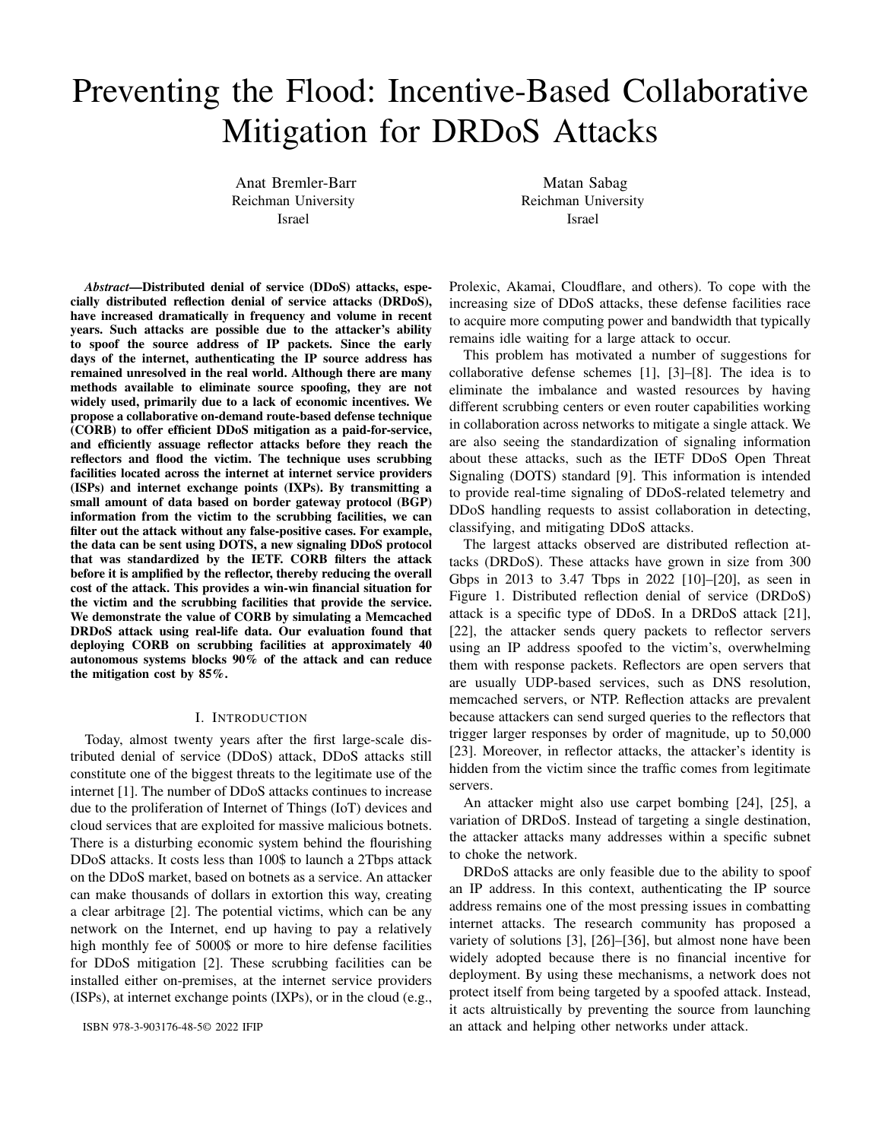

Fig. 5. Attack simulation with strict CORB



Fig. 6. Attack simulation with loose CORB

Figure 7 illustrates CORB-Strict's ability to save from 25 percent when deployed on the least effective SAS set (tier-2) to 90 percent when deployed on the most effective SAS set. The graph in figure 7 clearly depicts the opposite of the graph in figure 5 due to the relationship between mitigation success rate and cost savings. In addition, CORB can save us approximately 22% to 65%, based on the SAS set, even if we only use it on 20 SASs. CORB-Loose cost savings are slightly less than CORB-strict ones, but still of paramount importance to the victim. By deploying CORB-Loose, victims could save between 10 and 80 percent, depending on the SAS set (2).

It is evident from these results that both the SASs and the victims can benefit from the deployment CORB.

#### V. DOTS IMPLEMENTATION DETAILS

This section describes how DOTS should be extended to support CORB. Our offer to extend DOTS, as opposed to, for example, designing our proprietary protocol, is based on the





Fig. 8.

fact that in order to be widely adopted, a defense mechanism must be simple to implement and based on standard internet protocols.

There are two types of protocols between a DOTS client and a DOTS server: the signal channel [45] and the data channel [56]. DOTS clients use the signal channel in order to signal their need for DDoS protection. If the DOTS client detects a DDoS attack, it sends a mitigation request over the signal channel, which includes the following fields: targetprefix, target-protocol, etc. It can be concluded from this that DOTS is primarily concerned with mitigating DDoS attacks based on the target, which requires examination of the packet's destination field.

As mentioned in section III, the victim of a reflection attack may be interested in requesting spoofed traffic filtering based on the packet's source address. In CORB-Loose, a request by the victim to the SAS to filter packets based on the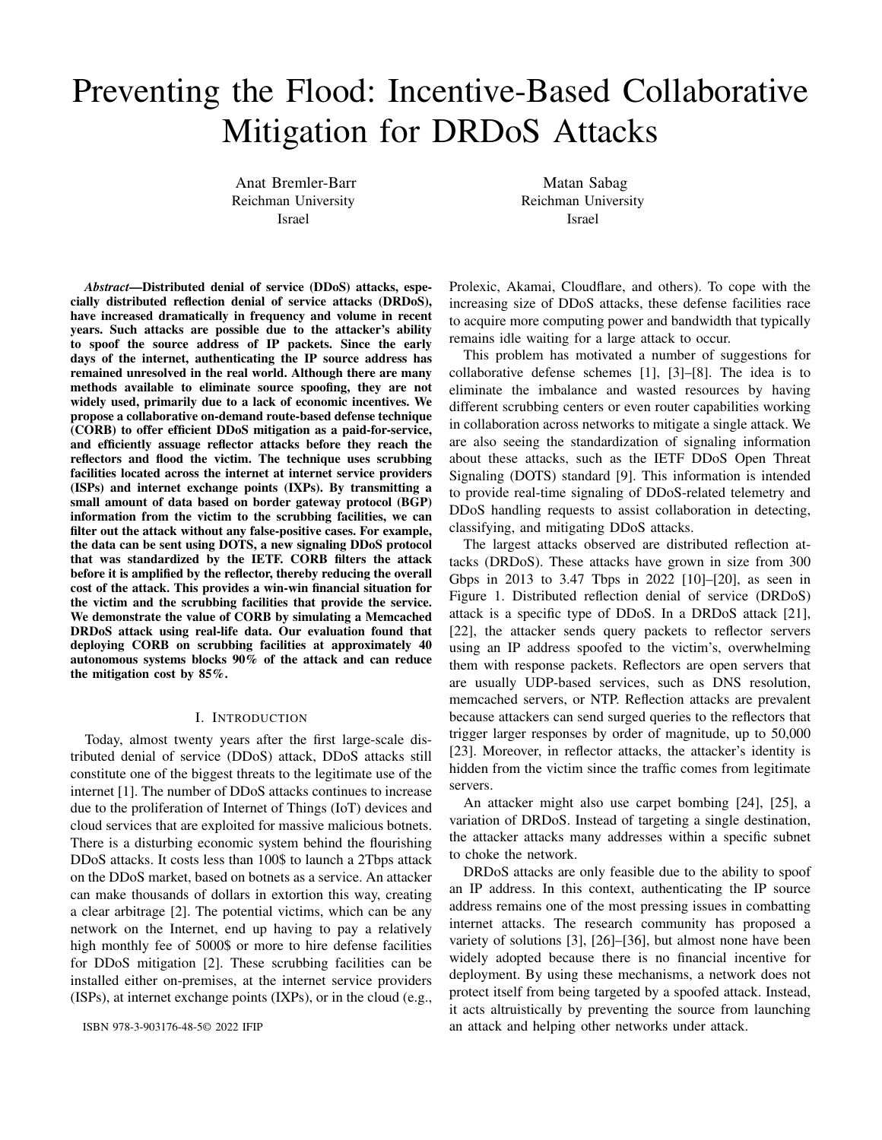victim's source address is accompanied by a list of reflectors to which packets from the victim are not expected to be forwarded through the SAS. When using CORB-Strict, the additional information being sent is a list of the reflectors participating in the attack and their expected incoming interface when authentic packets are routed through the SAS (or null, if there is none). In order to send such information with DOTS, we offer to extend the signal channel protocol by adding a target\_reflector\_interface field entry to the mitigation request. As this is an optional entry, backward compatibility can be assured (earlier versions of DOTS will ignore it). The *target reflector interface* contains a list of 〈reflector network,asn〉 tuples. Each tuple contains the IP address of the reflector and its corresponding expected incoming interface, which is always null in CORB-Loose. Unlike in our simulation, in which we addressed the reflector's AS as a single unit, we specify the reflector's address because in reality, different networks within the same AS may have different routes to the same destination.

## VI. RELATED WORK

DDoS mitigation and IP spoofing prevention are crucial for a functioning and stable internet environment. As such, the research community has spent years proposing solutions to these topics.

The majority of these solutions, such as [26], [27], [29]– [33], [36], suffer from one or more of the following: they do not provide incentives for deployment, they are not feasible in today's internet environment, or they make assumptions that are unrealistic.

In the past years, many papers proposed solutions that provide some form of cooperative defense. Some solutions such as [4], [57] are unable to protect against attacks from legacy networks without their defenses in place. Others, such as [58] do not perform well in non-contiguous deployment. Some papers are tailored to a small group of ISPs that are interconnecting with one another and have the relationship of customer-provider or peer, a limitation that CORB is not subject to. [59]–[61] have developed collaborative approaches for detecting and neutralizing botnets that participate in attacks and for developing collaborative IP blacklists and collaborative IP blacklists. These may suffer from deficiencies as they are not well maintained and properly updated.

CORB resembles approaches like Catchit [3] in that it is a collaborative route-based solution that provides routers with information regarding the valid arrival path of packets from a specific source. CatchIt has several shortcomings, such as the requirement to check every packet, even if no attack is in progress, and the necessity to continuously update a table that maps between sources and corresponding interfaces. Perhaps the most significant difference between CORB and CatchIt is that CatchIt both modifies BGP as well as introduces a proprietary protocol called RING to establish the route-sharing mechanism between the ASes. As a result, ASBR's control and data planes will need to be modified. Taking advantage of

standard protocols such as DOTS and BGPFlowspec, CORB overcomes this problem.

#### VII. CONCLUSION

CORB is a novel route-based filtering system for mitigating DRDoS attacks that employs network collaboration in order to hamper even the most powerful attacks. The most important contribution of our work is that we establish a practical framework that enables routers to receive information about inter-domain BGP routing decisions on-demand by utilizing existing protocols while providing true economic incentives for networks to adopt it.

#### **REFERENCES**

- [1] E. Osterweil, A. Stavrou, and L. Zhang, "21 years of distributed denialof-service: A call to action," *Computer*, vol. 53, pp. 94–99, 08 2020.
- [2] C. Labovitz, "Tracing volumetric ddos to its booter / iphm origins," 2021. [Online]. Available: https://www.nanog.org/news-stories/nanogtv/nanog-82-webcast/tracing-ddos-end-to-end-in-2021/
- [3] J. Li, J. Bi, and J. Wu, "Towards a cooperative mechanism based distributed source address filtering," in *2013 22nd International Conference on Computer Communication and Networks (ICCCN)*, 2013, pp. 1–7.
- [4] C. Papadopoulos, R. Lindell, J. Mehringer, A. Hussain, and R. Govindan, "Cossack: Coordinated suppression of simultaneous attacks," in *Proceedings DARPA Information Survivability Conference and Exposition*, vol. 2, 2003, pp. 94–96 vol.2.
- [5] M. Essaid, D. Kim, S. H. Maeng, S. Park, and H. T. Ju, "A collaborative ddos mitigation solution based on ethereum smart contract and rnnlstm," in *2019 20th Asia-Pacific Network Operations and Management Symposium (APNOMS)*, 2019, pp. 1–6.
- [6] G. Oikonomou, J. Mirkovic, P. Reiher, and M. Robinson, "A framework for a collaborative ddos defense," in *2006 22nd Annual Computer Security Applications Conference (ACSAC'06)*, 2006, pp. 33–42.
- [7] R. Saad, F. Nait-Abdesselam, and A. Serhrouchni, "A collaborative peerto-peer architecture to defend against ddos attacks," in *2008 33rd IEEE Conference on Local Computer Networks (LCN)*, 2008, pp. 427–434.
- [8] B. Rashidi, C. Fung, and E. Bertino, "A collaborative ddos defence framework using network function virtualization," *IEEE Transactions on Information Forensics and Security*, vol. 12, no. 10, pp. 2483–2497, 2017.
- [9] R. Moskowitz, "Ddos open threat signaling (dots) requirements," 2019.
- [10] "Network infrastructure security report," 2011. [Online]. Available: http://www.arbornetworks.com/report
- [11] M. Prince, "The ddos that knocked spamhaus offline," 2013. [Online]. Available: https://blog.cloudflare.com/the-ddos-that-knocked-spamhausoffline-and-ho
- [12] ——, "Technical details behind a 400gbps ntp amplification ddos attack," 2014. [Online]. Available: https://blog.cloudflare.com/technicaldetails-behind-a-400gbps-ntp-amplification-ddos-attack
- [13] "Memcached-fueled 1.3 tbps attacks," 2018. [Online].<br>Available: https://blogs.akamai.com/2018/03/memcached-fueled-13https://blogs.akamai.com/2018/03/memcached-fueled-13tbps-attacks.html
- [14] "Memcached ddos attack." [Online]. Available: https://www.cloudflare.com/learning/ddos/memcached-ddos-attack/
- [15] "Inside the infamous mirai iot botnet: A retrospective analysis," 2017. [Online]. Available: https://blog.cloudflare.com/inside-mirai-theinfamous-iot-botnet-a-retrospective-analysis/<br>[16] T. Bienkowski, "No sooner
- Bienkowski, "No sooner did the ink dry:<br>ps ddos attack makes history," 2018. [Online]. 1.7tbps ddos attack makes history," 2018. [Online]. Available: https://www.netscout.com/blog/security-17tbps-ddos-attackmakes-history
- [17] "Aws shield: Threat landscape report," 2020. [Online]. Available: https://aws-shield-tlr.s3.amazonaws.com/2020- Q1 AWS Shield TLR.pdf
- [18] J. Arteaga, "Cldap reflection ddos." [Online]. Available: https://www.akamai.com/uk/en/resources/our-thinking/threatadvisories/connection-less-lightweight-directory-access-protocolreflection-ddos-threat-advisory.jsp